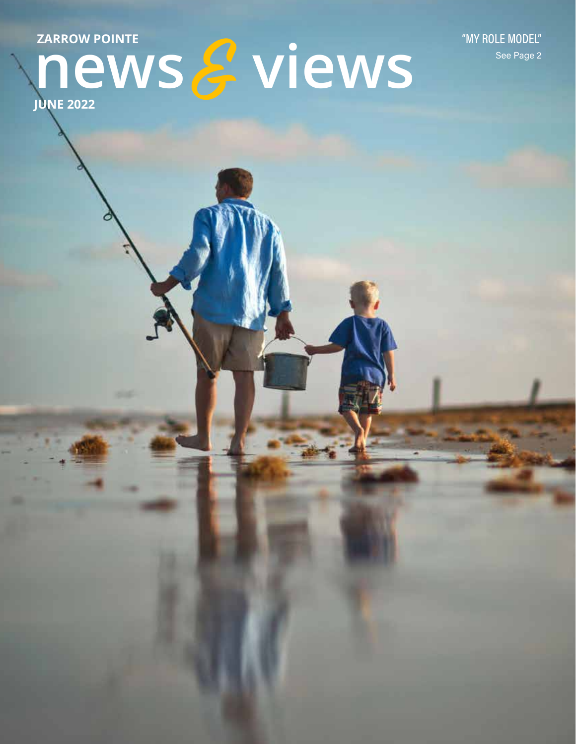ZARROW POINTE

"MY ROLE MODEL" See Page 2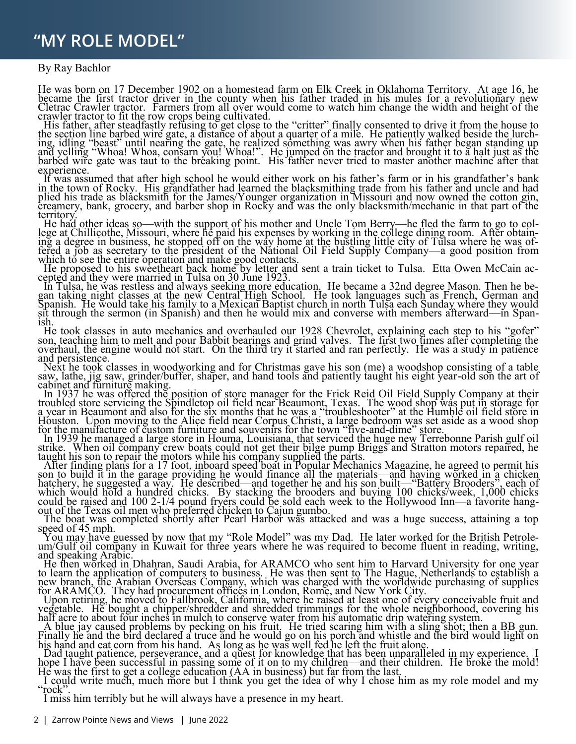### **"MY ROLE MODEL"**  $\overline{M}$   $\overline{M}$   $\overline{M}$   $\overline{M}$   $\overline{M}$   $\overline{M}$   $\overline{M}$   $\overline{M}$   $\overline{M}$   $\overline{M}$   $\overline{M}$   $\overline{M}$   $\overline{M}$   $\overline{M}$   $\overline{M}$   $\overline{M}$   $\overline{M}$   $\overline{M}$   $\overline{M}$   $\overline{M}$   $\overline{M}$   $\overline{M}$   $\overline{M}$   $\overline{M}$   $\overline{$

#### By Ray Bachlor

He was born on 17 December 1902 on a homestead farm on Elk Creek in Oklahoma Territory. At age 16, he became the first tractor driver in the county when his father traded in his mules for a revolutionary new Cletrac Crawler tractor. Farmers from all over would come to watch him change the width and height of the crawler tractor to fit the row crops being cultivated.

His father, after steadfastly refusing to get close to the "critter" finally consented to drive it from the house to the section line barbed wire gate, a distance of about a quarter of a mile. He patiently walked beside th ing, idling "beast" until nearing the gate, he realized something was awry when his father began standing up<br>and yelling "Whoa! Whoa, consarn you! Whoa!". He jumped on the tractor and brought it to a halt just as the<br>barbe experience.

It was assumed that after high school he would either work on his father's farm or in his grandfather's bank in the town of Rocky. His grandfather had learned the blacksmithing trade from his father and uncle and had plied his trade as blacksmith for the James/Younger organization in Missouri and now owned the cotton gin, creamery, bank, grocery, and barber shop in Rocky and was the only blacksmith/mechanic in that part of the territory.

He had other ideas so—with the support of his mother and Uncle Tom Berry—he fled the farm to go to col-<br>lege at Chillicothe, Missouri, where he paid his expenses by working in the college dining room. After obtaining a degree in business, he stopped off on the way home at the bustling little city of Tulsa where he was offered a job as secretary to the president of the National Oil Field Supply Company—a good position from which to see the entire operation and make good contacts.

He proposed to his sweetheart back home by letter and sent a train ticket to Tulsa. Etta Owen McCain accepted and they were married in Tulsa on 30 June 1923.

 In Tulsa, he was restless and always seeking more education. He became a 32nd degree Mason. Then he began taking night classes at the new Central High School. He took languages such as French, German and Spanish. He would take his family to a Mexican Baptist church in north Tulsa each Sunday where they would sit through the sermon (in Spanish) and then he would mix and converse with members afterward—in Span-<br>ish.

He took classes in auto mechanics and overhauled our 1928 Chevrolet, explaining each step to his "gofer" son, teaching him to melt and pour Babbit bearings and grind valves. The first two times after completing the overhaul, the engine would not start. On the third try it started and ran perfectly. He was a study in patience and persistence.

 Next he took classes in woodworking and for Christmas gave his son (me) a woodshop consisting of a table saw, lathe, jig saw, grinder/buffer, shaper, and hand tools and patiently taught his eight year-old son the art of cabinet and furniture making.

In 1937 he was offered the position of store manager for the Frick Reid Oil Field Supply Company at their troubled store servicing the Spindletop oil field near Beaumont, Texas. The wood shop was put in storage for a year in Beaumont and also for the six months that he was a "troubleshooter" at the Humble oil field store in Houston. Upon moving to the Alice field near Corpus Christi, a large bedroom was set aside as a wood shop for the manufacture of custom furniture and souvenirs for the town "five-and-dime" store.<br>In 1939 he managed a large store in Houma, Louisiana, that serviced the huge new Terrebonne Parish gulf oil

strike. When oil company crew boats could not get their bilge pump Briggs and Stratton motors repaired, he taught his son to repair the motors while his company supplied the parts.

 After finding plans for a 17 foot, inboard speed boat in Popular Mechanics Magazine, he agreed to permit his son to build it in the garage providing he would finance all the materials—and having worked in a chicken hatchery, he suggested a way. He described—and together he and his son built—"Battery Brooders", each of which would hold a hundred chicks. By stacking the brooders and buying 100 chicks/week, 1,000 chicks could be raised and 100 2-1/4 pound fryers could be sold each week to the Hollywood Inn—a favorite hang- out of the Texas oil men who preferred chicken to Cajun gumbo.

 The boat was completed shortly after Pearl Harbor was attacked and was a huge success, attaining a top speed of 45 mph.

 You may have guessed by now that my ³Role Model´was my Dad. He later worked for the British Petrole- um/Gulf oil company in Kuwait for three years where he was required to become fluent in reading, writing, and speaking Arabic.

 He then worked in Dhahran, Saudi Arabia, for ARAMCO who sent him to Harvard University for one year to learn the application of computers to business. He was then sent to The Hague, Netherlands to establish a new branch, the Arabian Overseas Company, which was charged with the worldwide purchasing of supplies for ARAMCO. They had procurement offices in London, Rome, and New York City.

 Upon retiring, he moved to Fallbrook, California, where he raised at least one of every conceivable fruit and vegetable. He bought a chipper/shredder and shredded trimmings for the whole neighborhood, covering his half acre to about four inches in mulch to conserve water from his automatic drip watering system.

 A blue jay caused problems by pecking on his fruit. He tried scaring him with a sling shot; then a BB gun. Finally he and the bird declared a truce and he would go on his porch and whistle and the bird would light on his hand and eat corn from his hand. As long as he was well fed he left the fruit alone.

Dad taught patience, perseverance, and a quest for knowledge that has been unparalleled in my experience. I hope I have been successful in passing some of it on to my children—and their children. He broke the mold! He was the first to get a college education (AA in business) but far from the last.

 I could write much, much more but I think you get the idea of why I chose him as my role model and my "rock".<br>I miss him terribly but he will always have a presence in my heart.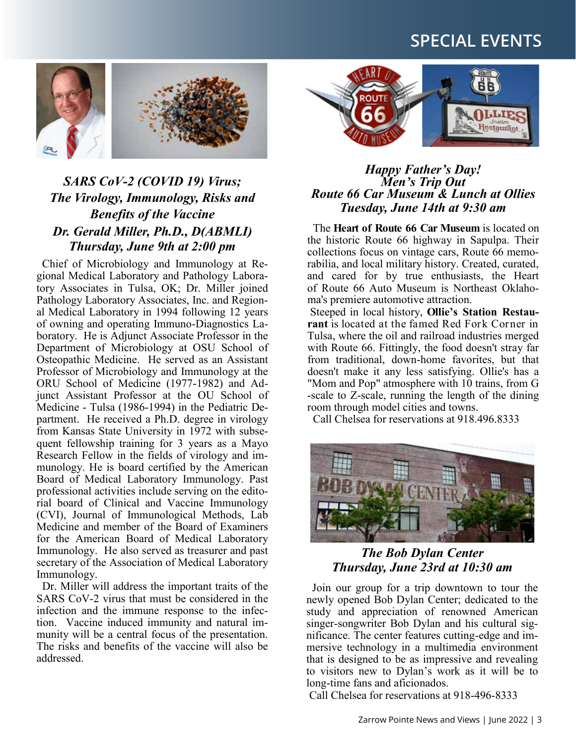# **SPECIAL EVENTS**



## *SARS CoV-2 (COVID 19) Virus; The Virology, Immunology, Risks and Benefits of the Vaccine Dr. Gerald Miller, Ph.D., D(ABMLI) Thursday, June 9th at 2:00 pm*

 Chief of Microbiology and Immunology at Regional Medical Laboratory and Pathology Laboratory Associates in Tulsa, OK; Dr. Miller joined Pathology Laboratory Associates, Inc. and Regional Medical Laboratory in 1994 following 12 years of owning and operating Immuno-Diagnostics Laboratory. He is Adjunct Associate Professor in the Department of Microbiology at OSU School of Osteopathic Medicine. He served as an Assistant Professor of Microbiology and Immunology at the ORU School of Medicine (1977-1982) and Adjunct Assistant Professor at the OU School of Medicine - Tulsa (1986-1994) in the Pediatric Department. He received a Ph.D. degree in virology from Kansas State University in 1972 with subsequent fellowship training for 3 years as a Mayo Research Fellow in the fields of virology and immunology. He is board certified by the American Board of Medical Laboratory Immunology. Past professional activities include serving on the editorial board of Clinical and Vaccine Immunology (CVI), Journal of Immunological Methods, Lab Medicine and member of the Board of Examiners for the American Board of Medical Laboratory Immunology. He also served as treasurer and past secretary of the Association of Medical Laboratory Immunology.

 Dr. Miller will address the important traits of the SARS CoV-2 virus that must be considered in the infection and the immune response to the infection. Vaccine induced immunity and natural immunity will be a central focus of the presentation. The risks and benefits of the vaccine will also be addressed.



#### *Happy Father¶s Day! Men¶s Trip Out Route 66 Car Museum & Lunch at Ollies Tuesday, June 14th at 9:30 am*

The **Heart of Route 66 Car Museum** is located on the historic Route 66 highway in Sapulpa. Their collections focus on vintage cars, Route 66 memorabilia, and local military history. Created, curated, and cared for by true enthusiasts, the Heart of Route 66 Auto Museum is Northeast Oklahoma's premiere automotive attraction.

Steeped in local history, Ollie's Station Restaurant is located at the famed Red Fork Corner in Tulsa, where the oil and railroad industries merged with Route 66. Fittingly, the food doesn't stray far from traditional, down-home favorites, but that doesn't make it any less satisfying. Ollie's has a "Mom and Pop" atmosphere with 10 trains, from G -scale to Z-scale, running the length of the dining room through model cities and towns.

Call Chelsea for reservations at 918.496.8333



#### *The Bob Dylan Center Thursday, June 23rd at 10:30 am*

 Join our group for a trip downtown to tour the newly opened Bob Dylan Center; dedicated to the study and appreciation of renowned American singer-songwriter Bob Dylan and his cultural significance. The center features cutting-edge and immersive technology in a multimedia environment that is designed to be as impressive and revealing to visitors new to Dylan's work as it will be to long-time fans and aficionados.

Call Chelsea for reservations at 918-496-8333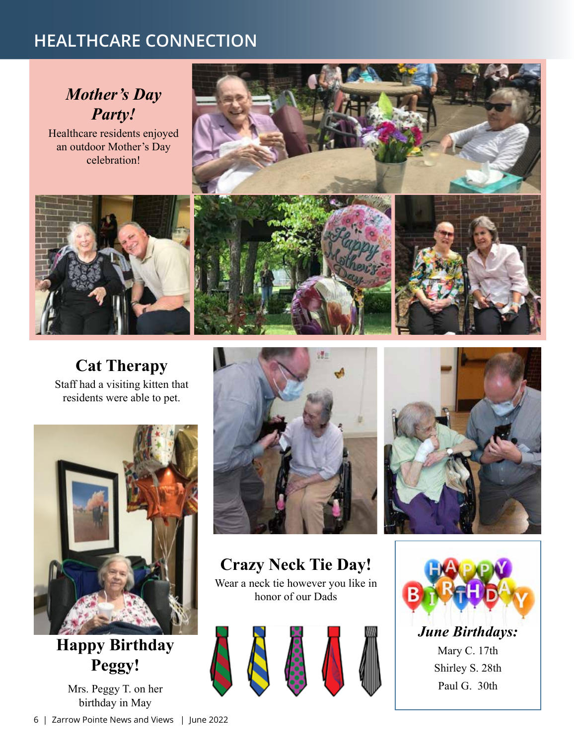# **HEALTHCARE CONNECTION**

# *Mother's Day Party!*

Healthcare residents enjoyed an outdoor Mother's Day celebration!



## **Cat Therapy**  Staff had a visiting kitten that

residents were able to pet.



**Happy Birthday Peggy!** 

Mrs. Peggy T. on her birthday in May





**Crazy Neck Tie Day!**  Wear a neck tie however you like in honor of our Dads





Mary C. 17th Shirley S. 28th Paul G. 30th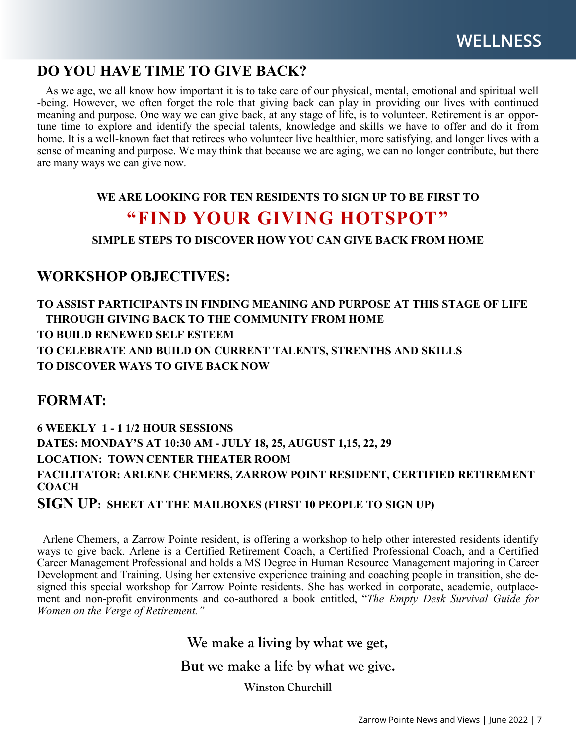## **DO YOU HAVE TIME TO GIVE BACK?**

 As we age, we all know how important it is to take care of our physical, mental, emotional and spiritual well -being. However, we often forget the role that giving back can play in providing our lives with continued meaning and purpose. One way we can give back, at any stage of life, is to volunteer. Retirement is an opportune time to explore and identify the special talents, knowledge and skills we have to offer and do it from home. It is a well-known fact that retirees who volunteer live healthier, more satisfying, and longer lives with a sense of meaning and purpose. We may think that because we are aging, we can no longer contribute, but there are many ways we can give now.

#### **WE ARE LOOKING FOR TEN RESIDENTS TO SIGN UP TO BE FIRST TO**

# **³FIND YOUR GIVING HOTSPOT´**

**SIMPLE STEPS TO DISCOVER HOW YOU CAN GIVE BACK FROM HOME**

## **WORKSHOP OBJECTIVES:**

**TO ASSIST PARTICIPANTS IN FINDING MEANING AND PURPOSE AT THIS STAGE OF LIFE THROUGH GIVING BACK TO THE COMMUNITY FROM HOME TO BUILD RENEWED SELF ESTEEM TO CELEBRATE AND BUILD ON CURRENT TALENTS, STRENTHS AND SKILLS TO DISCOVER WAYS TO GIVE BACK NOW**

## **FORMAT:**

**6 WEEKLY 1 - 1 1/2 HOUR SESSIONS DATES: MONDAY¶S AT 10:30 AM - JULY 18, 25, AUGUST 1,15, 22, 29 LOCATION: TOWN CENTER THEATER ROOM FACILITATOR: ARLENE CHEMERS, ZARROW POINT RESIDENT, CERTIFIED RETIREMENT COACH** 

**SIGN UP: SHEET AT THE MAILBOXES (FIRST 10 PEOPLE TO SIGN UP)** 

 Arlene Chemers, a Zarrow Pointe resident, is offering a workshop to help other interested residents identify ways to give back. Arlene is a Certified Retirement Coach, a Certified Professional Coach, and a Certified Career Management Professional and holds a MS Degree in Human Resource Management majoring in Career Development and Training. Using her extensive experience training and coaching people in transition, she designed this special workshop for Zarrow Pointe residents. She has worked in corporate, academic, outplacement and non-profit environments and co-authored a book entitled, "The Empty Desk Survival Guide for *KWomen on the Verge of Retirement.*"

> We make a living by what we get, But we make a life by what we give. **Winston Churchill**